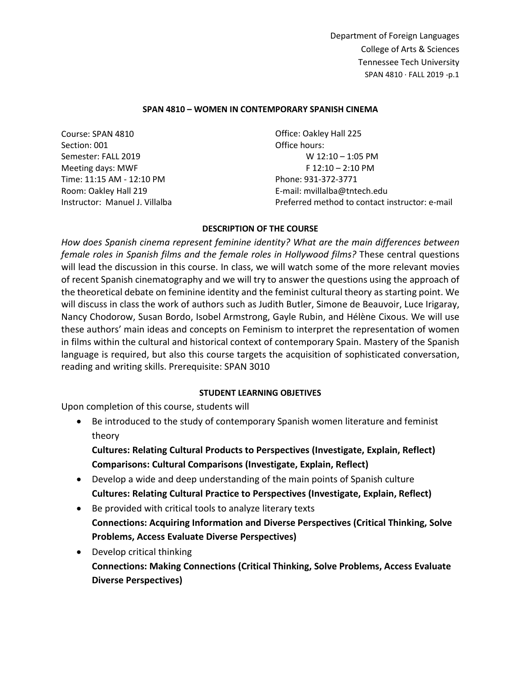## **SPAN 4810 – WOMEN IN CONTEMPORARY SPANISH CINEMA**

Course: SPAN 4810 Section: 001 Semester: FALL 2019 Meeting days: MWF Time: 11:15 AM - 12:10 PM Room: Oakley Hall 219 Instructor: Manuel J. Villalba

Office: Oakley Hall 225 Office hours: W 12:10 – 1:05 PM F 12:10 – 2:10 PM Phone: 931-372-3771 E-mail: mvillalba@tntech.edu Preferred method to contact instructor: e-mail

## **DESCRIPTION OF THE COURSE**

*How does Spanish cinema represent feminine identity? What are the main differences between female roles in Spanish films and the female roles in Hollywood films?* These central questions will lead the discussion in this course. In class, we will watch some of the more relevant movies of recent Spanish cinematography and we will try to answer the questions using the approach of the theoretical debate on feminine identity and the feminist cultural theory as starting point. We will discuss in class the work of authors such as Judith Butler, Simone de Beauvoir, Luce Irigaray, Nancy Chodorow, Susan Bordo, Isobel Armstrong, Gayle Rubin, and Hélène Cixous. We will use these authors' main ideas and concepts on Feminism to interpret the representation of women in films within the cultural and historical context of contemporary Spain. Mastery of the Spanish language is required, but also this course targets the acquisition of sophisticated conversation, reading and writing skills. Prerequisite: SPAN 3010

# **STUDENT LEARNING OBJETIVES**

Upon completion of this course, students will

• Be introduced to the study of contemporary Spanish women literature and feminist theory

**Cultures: Relating Cultural Products to Perspectives (Investigate, Explain, Reflect) Comparisons: Cultural Comparisons (Investigate, Explain, Reflect)**

- Develop a wide and deep understanding of the main points of Spanish culture **Cultures: Relating Cultural Practice to Perspectives (Investigate, Explain, Reflect)**
- Be provided with critical tools to analyze literary texts **Connections: Acquiring Information and Diverse Perspectives (Critical Thinking, Solve Problems, Access Evaluate Diverse Perspectives)**
- Develop critical thinking **Connections: Making Connections (Critical Thinking, Solve Problems, Access Evaluate Diverse Perspectives)**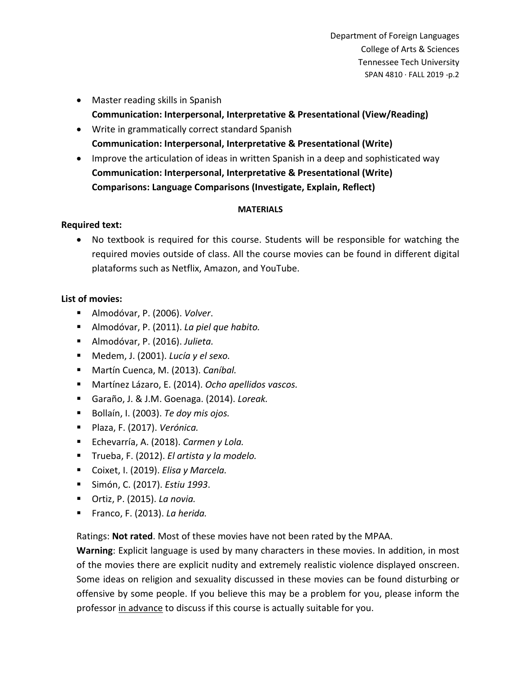- Master reading skills in Spanish **Communication: Interpersonal, Interpretative & Presentational (View/Reading)**
- Write in grammatically correct standard Spanish **Communication: Interpersonal, Interpretative & Presentational (Write)**
- Improve the articulation of ideas in written Spanish in a deep and sophisticated way **Communication: Interpersonal, Interpretative & Presentational (Write) Comparisons: Language Comparisons (Investigate, Explain, Reflect)**

# **MATERIALS**

# **Required text:**

• No textbook is required for this course. Students will be responsible for watching the required movies outside of class. All the course movies can be found in different digital plataforms such as Netflix, Amazon, and YouTube.

# **List of movies:**

- Almodóvar, P. (2006). *Volver*.
- Almodóvar, P. (2011). *La piel que habito.*
- Almodóvar, P. (2016). *Julieta.*
- Medem, J. (2001). *Lucía y el sexo.*
- Martín Cuenca, M. (2013). *Caníbal.*
- Martínez Lázaro, E. (2014). *Ocho apellidos vascos.*
- Garaño, J. & J.M. Goenaga. (2014). *Loreak.*
- Bollaín, I. (2003). *Te doy mis ojos.*
- Plaza, F. (2017). *Verónica.*
- Echevarría, A. (2018). *Carmen y Lola.*
- Trueba, F. (2012). *El artista y la modelo.*
- Coixet, I. (2019). *Elisa y Marcela.*
- Simón, C. (2017). *Estiu 1993*.
- Ortiz, P. (2015). *La novia.*
- Franco, F. (2013). *La herida.*

Ratings: **Not rated**. Most of these movies have not been rated by the MPAA.

**Warning**: Explicit language is used by many characters in these movies. In addition, in most of the movies there are explicit nudity and extremely realistic violence displayed onscreen. Some ideas on religion and sexuality discussed in these movies can be found disturbing or offensive by some people. If you believe this may be a problem for you, please inform the professor in advance to discuss if this course is actually suitable for you.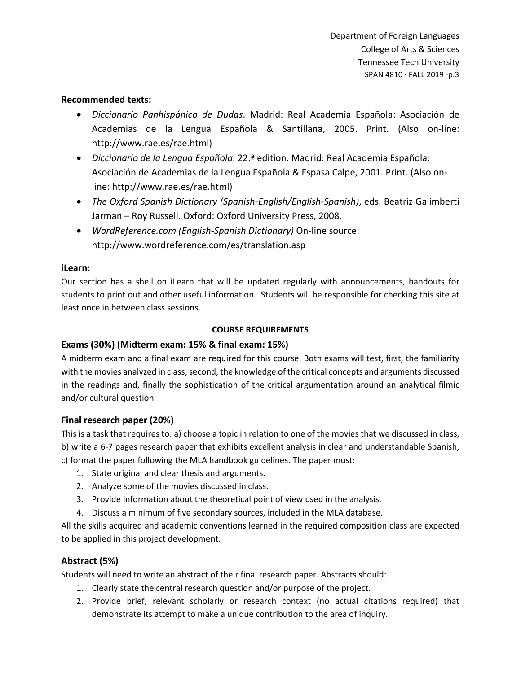## **Recommended texts:**

- *Diccionario Panhispánico de Dudas*. Madrid: Real Academia Española: Asociación de Academias de la Lengua Española & Santillana, 2005. Print. (Also on-line: http://www.rae.es/rae.html)
- *Diccionario de la Lengua Española*. 22.ª edition. Madrid: Real Academia Española: Asociación de Academias de la Lengua Española & Espasa Calpe, 2001. Print. (Also online: http://www.rae.es/rae.html)
- *The Oxford Spanish Dictionary (Spanish-English/English-Spanish)*, eds. Beatriz Galimberti Jarman – Roy Russell. Oxford: Oxford University Press, 2008.
- *WordReference.com (English-Spanish Dictionary)* On-line source: http://www.wordreference.com/es/translation.asp

## **iLearn:**

Our section has a shell on iLearn that will be updated regularly with announcements, handouts for students to print out and other useful information. Students will be responsible for checking this site at least once in between class sessions.

## **COURSE REQUIREMENTS**

# **Exams (30%) (Midterm exam: 15% & final exam: 15%)**

A midterm exam and a final exam are required for this course. Both exams will test, first, the familiarity with the movies analyzed in class; second, the knowledge of the critical concepts and arguments discussed in the readings and, finally the sophistication of the critical argumentation around an analytical filmic and/or cultural question.

# **Final research paper (20%)**

This is a task that requires to: a) choose a topic in relation to one of the movies that we discussed in class, b) write a 6-7 pages research paper that exhibits excellent analysis in clear and understandable Spanish, c) format the paper following the MLA handbook guidelines. The paper must:

- 1. State original and clear thesis and arguments.
- 2. Analyze some of the movies discussed in class.
- 3. Provide information about the theoretical point of view used in the analysis.
- 4. Discuss a minimum of five secondary sources, included in the MLA database.

All the skills acquired and academic conventions learned in the required composition class are expected to be applied in this project development.

# **Abstract (5%)**

Students will need to write an abstract of their final research paper. Abstracts should:

- 1. Clearly state the central research question and/or purpose of the project.
- 2. Provide brief, relevant scholarly or research context (no actual citations required) that demonstrate its attempt to make a unique contribution to the area of inquiry.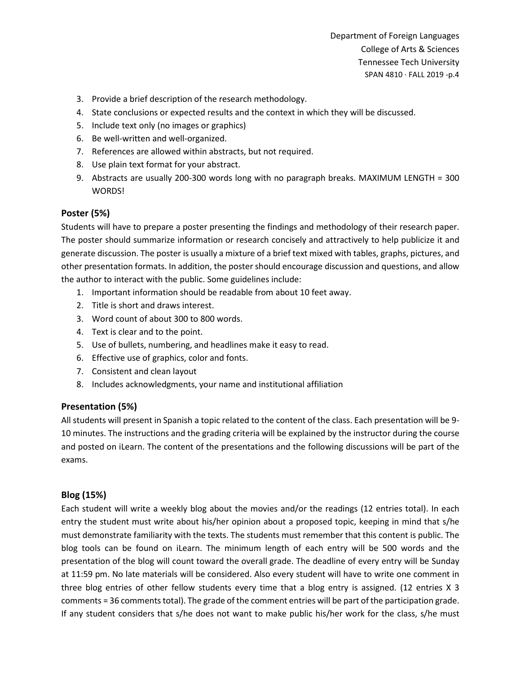- 3. Provide a brief description of the research methodology.
- 4. State conclusions or expected results and the context in which they will be discussed.
- 5. Include text only (no images or graphics)
- 6. Be well-written and well-organized.
- 7. References are allowed within abstracts, but not required.
- 8. Use plain text format for your abstract.
- 9. Abstracts are usually 200-300 words long with no paragraph breaks. MAXIMUM LENGTH = 300 WORDS!

# **Poster (5%)**

Students will have to prepare a poster presenting the findings and methodology of their research paper. The poster should summarize information or research concisely and attractively to help publicize it and generate discussion. The poster is usually a mixture of a brief text mixed with tables, graphs, pictures, and other presentation formats. In addition, the poster should encourage discussion and questions, and allow the author to interact with the public. Some guidelines include:

- 1. Important information should be readable from about 10 feet away.
- 2. Title is short and draws interest.
- 3. Word count of about 300 to 800 words.
- 4. Text is clear and to the point.
- 5. Use of bullets, numbering, and headlines make it easy to read.
- 6. Effective use of graphics, color and fonts.
- 7. Consistent and clean layout
- 8. Includes acknowledgments, your name and institutional affiliation

# **Presentation (5%)**

All students will present in Spanish a topic related to the content of the class. Each presentation will be 9- 10 minutes. The instructions and the grading criteria will be explained by the instructor during the course and posted on iLearn. The content of the presentations and the following discussions will be part of the exams.

# **Blog (15%)**

Each student will write a weekly blog about the movies and/or the readings (12 entries total). In each entry the student must write about his/her opinion about a proposed topic, keeping in mind that s/he must demonstrate familiarity with the texts. The students must remember that this content is public. The blog tools can be found on iLearn. The minimum length of each entry will be 500 words and the presentation of the blog will count toward the overall grade. The deadline of every entry will be Sunday at 11:59 pm. No late materials will be considered. Also every student will have to write one comment in three blog entries of other fellow students every time that a blog entry is assigned. (12 entries X 3 comments = 36 comments total). The grade of the comment entries will be part of the participation grade. If any student considers that s/he does not want to make public his/her work for the class, s/he must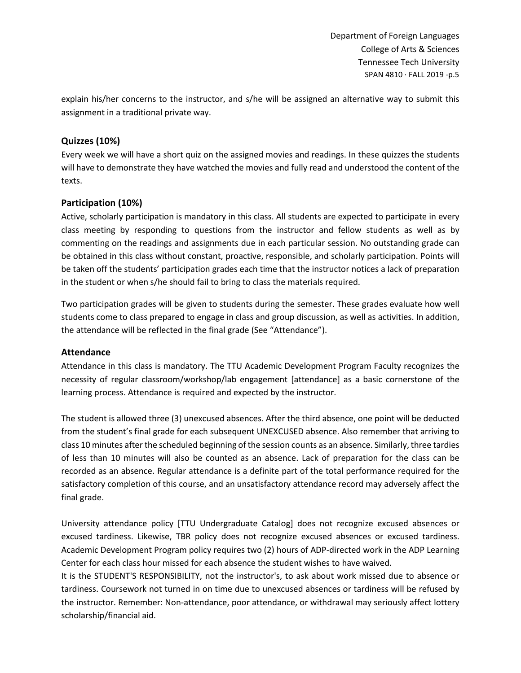explain his/her concerns to the instructor, and s/he will be assigned an alternative way to submit this assignment in a traditional private way.

# **Quizzes (10%)**

Every week we will have a short quiz on the assigned movies and readings. In these quizzes the students will have to demonstrate they have watched the movies and fully read and understood the content of the texts.

# **Participation (10%)**

Active, scholarly participation is mandatory in this class. All students are expected to participate in every class meeting by responding to questions from the instructor and fellow students as well as by commenting on the readings and assignments due in each particular session. No outstanding grade can be obtained in this class without constant, proactive, responsible, and scholarly participation. Points will be taken off the students' participation grades each time that the instructor notices a lack of preparation in the student or when s/he should fail to bring to class the materials required.

Two participation grades will be given to students during the semester. These grades evaluate how well students come to class prepared to engage in class and group discussion, as well as activities. In addition, the attendance will be reflected in the final grade (See "Attendance").

# **Attendance**

Attendance in this class is mandatory. The TTU Academic Development Program Faculty recognizes the necessity of regular classroom/workshop/lab engagement [attendance] as a basic cornerstone of the learning process. Attendance is required and expected by the instructor.

The student is allowed three (3) unexcused absences. After the third absence, one point will be deducted from the student's final grade for each subsequent UNEXCUSED absence. Also remember that arriving to class 10 minutes after the scheduled beginning of the session counts as an absence. Similarly, three tardies of less than 10 minutes will also be counted as an absence. Lack of preparation for the class can be recorded as an absence. Regular attendance is a definite part of the total performance required for the satisfactory completion of this course, and an unsatisfactory attendance record may adversely affect the final grade.

University attendance policy [TTU Undergraduate Catalog] does not recognize excused absences or excused tardiness. Likewise, TBR policy does not recognize excused absences or excused tardiness. Academic Development Program policy requires two (2) hours of ADP-directed work in the ADP Learning Center for each class hour missed for each absence the student wishes to have waived.

It is the STUDENT'S RESPONSIBILITY, not the instructor's, to ask about work missed due to absence or tardiness. Coursework not turned in on time due to unexcused absences or tardiness will be refused by the instructor. Remember: Non-attendance, poor attendance, or withdrawal may seriously affect lottery scholarship/financial aid.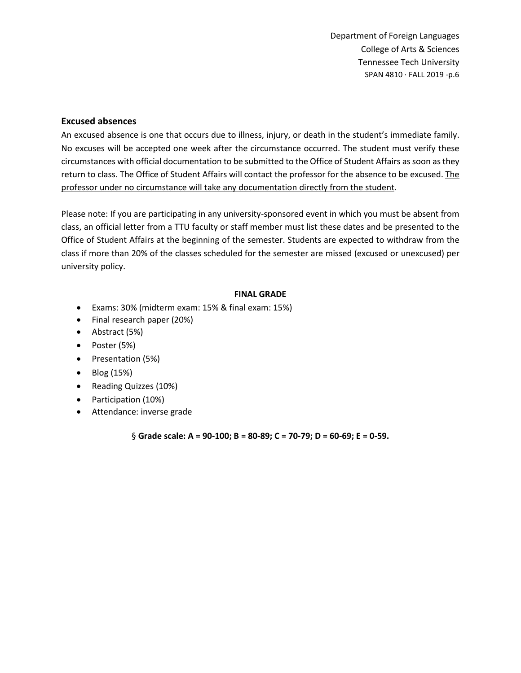# **Excused absences**

An excused absence is one that occurs due to illness, injury, or death in the student's immediate family. No excuses will be accepted one week after the circumstance occurred. The student must verify these circumstances with official documentation to be submitted to the Office of Student Affairs as soon as they return to class. The Office of Student Affairs will contact the professor for the absence to be excused. The professor under no circumstance will take any documentation directly from the student.

Please note: If you are participating in any university-sponsored event in which you must be absent from class, an official letter from a TTU faculty or staff member must list these dates and be presented to the Office of Student Affairs at the beginning of the semester. Students are expected to withdraw from the class if more than 20% of the classes scheduled for the semester are missed (excused or unexcused) per university policy.

## **FINAL GRADE**

- Exams: 30% (midterm exam: 15% & final exam: 15%)
- Final research paper (20%)
- Abstract (5%)
- Poster (5%)
- Presentation (5%)
- Blog (15%)
- Reading Quizzes (10%)
- Participation (10%)
- Attendance: inverse grade

§ **Grade scale: A = 90‐100; B = 80‐89; C = 70‐79; D = 60‐69; E = 0‐59.**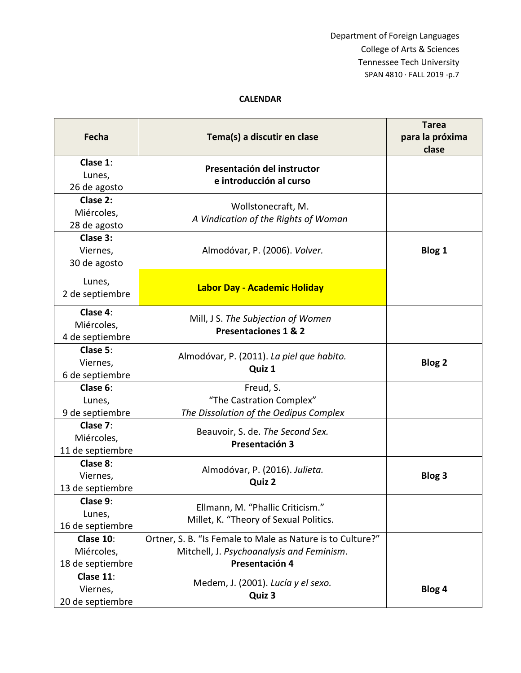## **CALENDAR**

| Fecha                                       | Tema(s) a discutir en clase                                                                                               | <b>Tarea</b><br>para la próxima<br>clase |
|---------------------------------------------|---------------------------------------------------------------------------------------------------------------------------|------------------------------------------|
| Clase 1:<br>Lunes,<br>26 de agosto          | Presentación del instructor<br>e introducción al curso                                                                    |                                          |
| Clase 2:<br>Miércoles,<br>28 de agosto      | Wollstonecraft, M.<br>A Vindication of the Rights of Woman                                                                |                                          |
| Clase 3:<br>Viernes,<br>30 de agosto        | Almodóvar, P. (2006). Volver.                                                                                             | <b>Blog 1</b>                            |
| Lunes,<br>2 de septiembre                   | Labor Day - Academic Holiday                                                                                              |                                          |
| Clase 4:<br>Miércoles,<br>4 de septiembre   | Mill, J S. The Subjection of Women<br><b>Presentaciones 1 &amp; 2</b>                                                     |                                          |
| Clase 5:<br>Viernes,<br>6 de septiembre     | Almodóvar, P. (2011). La piel que habito.<br>Quiz 1                                                                       | <b>Blog 2</b>                            |
| Clase 6:<br>Lunes,<br>9 de septiembre       | Freud, S.<br>"The Castration Complex"<br>The Dissolution of the Oedipus Complex                                           |                                          |
| Clase 7:<br>Miércoles,<br>11 de septiembre  | Beauvoir, S. de. The Second Sex.<br>Presentación 3                                                                        |                                          |
| Clase 8:<br>Viernes,<br>13 de septiembre    | Almodóvar, P. (2016). Julieta.<br>Quiz 2                                                                                  | <b>Blog 3</b>                            |
| Clase 9:<br>Lunes,<br>16 de septiembre      | Ellmann, M. "Phallic Criticism."<br>Millet, K. "Theory of Sexual Politics.                                                |                                          |
| Clase 10:<br>Miércoles,<br>18 de septiembre | Ortner, S. B. "Is Female to Male as Nature is to Culture?"<br>Mitchell, J. Psychoanalysis and Feminism.<br>Presentación 4 |                                          |
| Clase 11:<br>Viernes,<br>20 de septiembre   | Medem, J. (2001). Lucía y el sexo.<br>Quiz 3                                                                              | Blog 4                                   |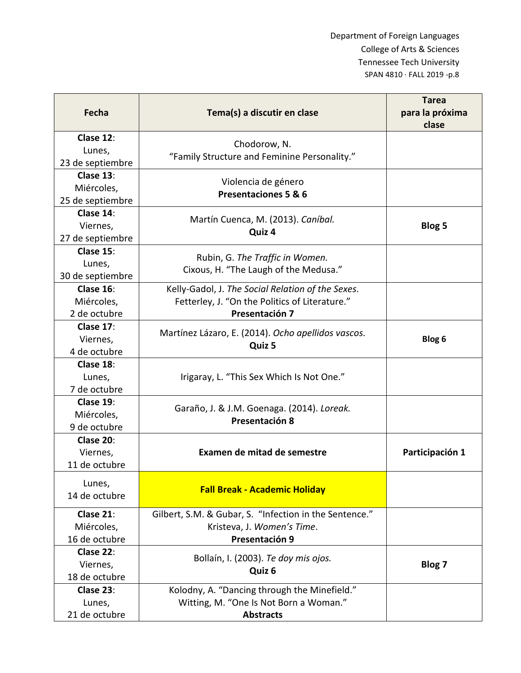| Fecha                                       | Tema(s) a discutir en clase                                                                                           | <b>Tarea</b><br>para la próxima |
|---------------------------------------------|-----------------------------------------------------------------------------------------------------------------------|---------------------------------|
|                                             |                                                                                                                       | clase                           |
| Clase 12:<br>Lunes,<br>23 de septiembre     | Chodorow, N.<br>"Family Structure and Feminine Personality."                                                          |                                 |
| Clase 13:<br>Miércoles,<br>25 de septiembre | Violencia de género<br>Presentaciones 5 & 6                                                                           |                                 |
| Clase 14:<br>Viernes,<br>27 de septiembre   | Martín Cuenca, M. (2013). Caníbal.<br>Quiz 4                                                                          | <b>Blog 5</b>                   |
| Clase 15:<br>Lunes,<br>30 de septiembre     | Rubin, G. The Traffic in Women.<br>Cixous, H. "The Laugh of the Medusa."                                              |                                 |
| Clase 16:<br>Miércoles,<br>2 de octubre     | Kelly-Gadol, J. The Social Relation of the Sexes.<br>Fetterley, J. "On the Politics of Literature."<br>Presentación 7 |                                 |
| Clase 17:<br>Viernes,<br>4 de octubre       | Martínez Lázaro, E. (2014). Ocho apellidos vascos.<br>Quiz 5                                                          | Blog 6                          |
| Clase 18:<br>Lunes,<br>7 de octubre         | Irigaray, L. "This Sex Which Is Not One."                                                                             |                                 |
| Clase 19:<br>Miércoles,<br>9 de octubre     | Garaño, J. & J.M. Goenaga. (2014). Loreak.<br>Presentación 8                                                          |                                 |
| Clase 20:<br>Viernes,<br>11 de octubre      | Examen de mitad de semestre                                                                                           | Participación 1                 |
| Lunes,<br>14 de octubre                     | <b>Fall Break - Academic Holiday</b>                                                                                  |                                 |
| Clase 21:<br>Miércoles,<br>16 de octubre    | Gilbert, S.M. & Gubar, S. "Infection in the Sentence."<br>Kristeva, J. Women's Time.<br>Presentación 9                |                                 |
| Clase 22:<br>Viernes,<br>18 de octubre      | Bollaín, I. (2003). Te doy mis ojos.<br>Quiz 6                                                                        | Blog 7                          |
| Clase 23:<br>Lunes,<br>21 de octubre        | Kolodny, A. "Dancing through the Minefield."<br>Witting, M. "One Is Not Born a Woman."<br><b>Abstracts</b>            |                                 |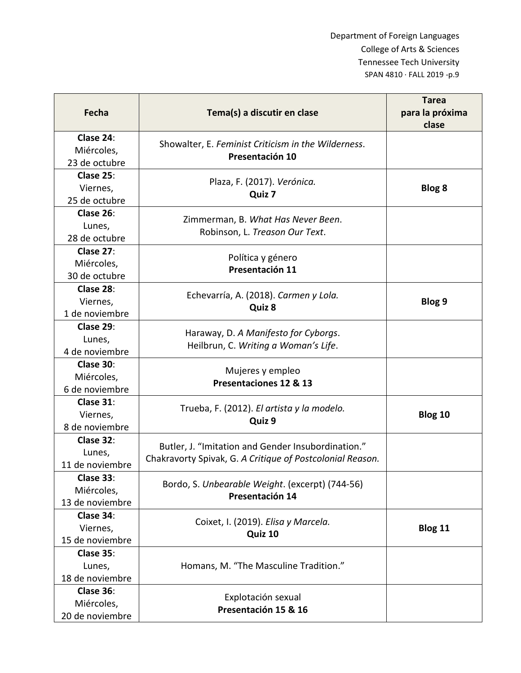| Fecha                                      | Tema(s) a discutir en clase                                                                                     | <b>Tarea</b><br>para la próxima<br>clase |
|--------------------------------------------|-----------------------------------------------------------------------------------------------------------------|------------------------------------------|
| Clase 24:<br>Miércoles,<br>23 de octubre   | Showalter, E. Feminist Criticism in the Wilderness.<br>Presentación 10                                          |                                          |
| Clase 25:<br>Viernes,<br>25 de octubre     | Plaza, F. (2017). Verónica.<br>Quiz 7                                                                           | <b>Blog 8</b>                            |
| Clase 26:<br>Lunes,<br>28 de octubre       | Zimmerman, B. What Has Never Been.<br>Robinson, L. Treason Our Text.                                            |                                          |
| Clase 27:<br>Miércoles,<br>30 de octubre   | Política y género<br>Presentación 11                                                                            |                                          |
| Clase 28:<br>Viernes,<br>1 de noviembre    | Echevarría, A. (2018). Carmen y Lola.<br>Quiz 8                                                                 | Blog 9                                   |
| Clase 29:<br>Lunes,<br>4 de noviembre      | Haraway, D. A Manifesto for Cyborgs.<br>Heilbrun, C. Writing a Woman's Life.                                    |                                          |
| Clase 30:<br>Miércoles,<br>6 de noviembre  | Mujeres y empleo<br>Presentaciones 12 & 13                                                                      |                                          |
| Clase 31:<br>Viernes,<br>8 de noviembre    | Trueba, F. (2012). El artista y la modelo.<br>Quiz 9                                                            | Blog 10                                  |
| Clase 32:<br>Lunes,<br>11 de noviembre     | Butler, J. "Imitation and Gender Insubordination."<br>Chakravorty Spivak, G. A Critique of Postcolonial Reason. |                                          |
| Clase 33:<br>Miércoles,<br>13 de noviembre | Bordo, S. Unbearable Weight. (excerpt) (744-56)<br>Presentación 14                                              |                                          |
| Clase 34:<br>Viernes,<br>15 de noviembre   | Coixet, I. (2019). Elisa y Marcela.<br>Quiz 10                                                                  | Blog 11                                  |
| Clase 35:<br>Lunes,<br>18 de noviembre     | Homans, M. "The Masculine Tradition."                                                                           |                                          |
| Clase 36:<br>Miércoles,<br>20 de noviembre | Explotación sexual<br>Presentación 15 & 16                                                                      |                                          |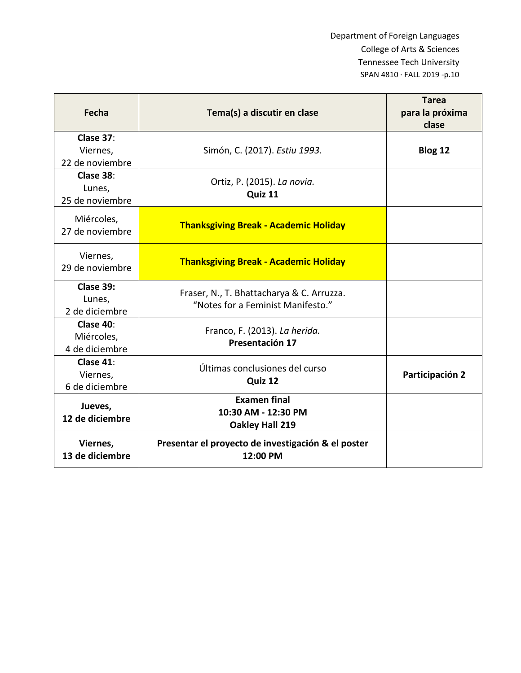| Fecha                                     | Tema(s) a discutir en clase                                                    | <b>Tarea</b><br>para la próxima<br>clase |
|-------------------------------------------|--------------------------------------------------------------------------------|------------------------------------------|
| Clase 37:<br>Viernes,<br>22 de noviembre  | Simón, C. (2017). Estiu 1993.                                                  | Blog 12                                  |
| Clase 38:<br>Lunes,<br>25 de noviembre    | Ortiz, P. (2015). La novia.<br>Quiz 11                                         |                                          |
| Miércoles,<br>27 de noviembre             | <b>Thanksgiving Break - Academic Holiday</b>                                   |                                          |
| Viernes,<br>29 de noviembre               | <b>Thanksgiving Break - Academic Holiday</b>                                   |                                          |
| Clase 39:<br>Lunes,<br>2 de diciembre     | Fraser, N., T. Bhattacharya & C. Arruzza.<br>"Notes for a Feminist Manifesto." |                                          |
| Clase 40:<br>Miércoles,<br>4 de diciembre | Franco, F. (2013). La herida.<br>Presentación 17                               |                                          |
| Clase 41:<br>Viernes,<br>6 de diciembre   | Últimas conclusiones del curso<br>Quiz 12                                      | Participación 2                          |
| Jueves,<br>12 de diciembre                | <b>Examen final</b><br>10:30 AM - 12:30 PM<br>Oakley Hall 219                  |                                          |
| Viernes,<br>13 de diciembre               | Presentar el proyecto de investigación & el poster<br>12:00 PM                 |                                          |